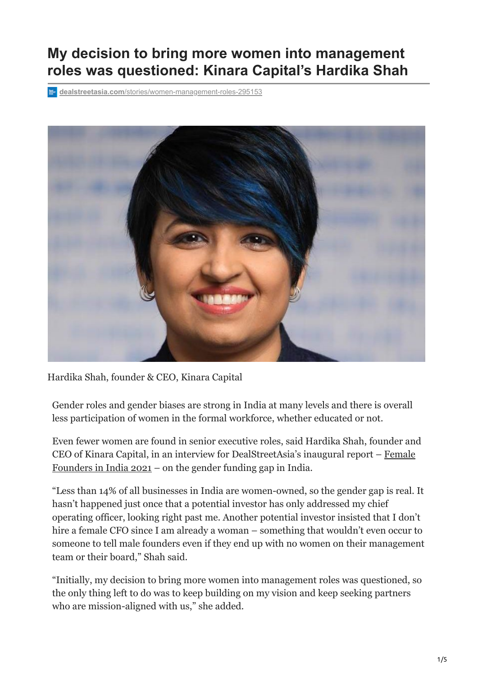# **My decision to bring more women into management roles was questioned: Kinara Capital's Hardika Shah**

**dealstreetasia.com**[/stories/women-management-roles-295153](https://www.dealstreetasia.com/stories/women-management-roles-295153)



Hardika Shah, founder & CEO, Kinara Capital

Gender roles and gender biases are strong in India at many levels and there is overall less participation of women in the formal workforce, whether educated or not.

Even fewer women are found in senior executive roles, said Hardika Shah, founder and [CEO of Kinara Capital, in an interview for DealStreetAsia's inaugural report – Female](https://www.dealstreetasia.com/reports/female-founders-india-2021/) Founders in India 2021 – on the gender funding gap in India.

"Less than 14% of all businesses in India are women-owned, so the gender gap is real. It hasn't happened just once that a potential investor has only addressed my chief operating officer, looking right past me. Another potential investor insisted that I don't hire a female CFO since I am already a woman – something that wouldn't even occur to someone to tell male founders even if they end up with no women on their management team or their board," Shah said.

"Initially, my decision to bring more women into management roles was questioned, so the only thing left to do was to keep building on my vision and keep seeking partners who are mission-aligned with us," she added.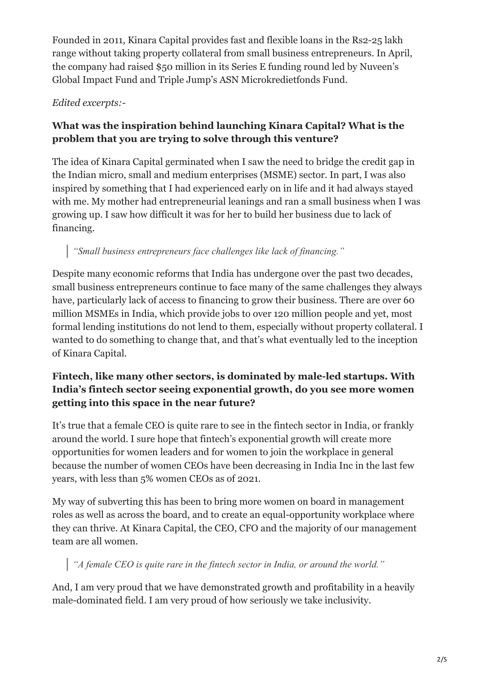Founded in 2011, Kinara Capital provides fast and flexible loans in the Rs2-25 lakh range without taking property collateral from small business entrepreneurs. In April, the company had raised \$50 million in its Series E funding round led by Nuveen's Global Impact Fund and Triple Jump's ASN Microkredietfonds Fund.

#### *Edited excerpts:-*

### **What was the inspiration behind launching Kinara Capital? What is the problem that you are trying to solve through this venture?**

The idea of Kinara Capital germinated when I saw the need to bridge the credit gap in the Indian micro, small and medium enterprises (MSME) sector. In part, I was also inspired by something that I had experienced early on in life and it had always stayed with me. My mother had entrepreneurial leanings and ran a small business when I was growing up. I saw how difficult it was for her to build her business due to lack of financing.

# *"Small business entrepreneurs face challenges like lack of financing."*

Despite many economic reforms that India has undergone over the past two decades, small business entrepreneurs continue to face many of the same challenges they always have, particularly lack of access to financing to grow their business. There are over 60 million MSMEs in India, which provide jobs to over 120 million people and yet, most formal lending institutions do not lend to them, especially without property collateral. I wanted to do something to change that, and that's what eventually led to the inception of Kinara Capital.

#### **Fintech, like many other sectors, is dominated by male-led startups. With India's fintech sector seeing exponential growth, do you see more women getting into this space in the near future?**

It's true that a female CEO is quite rare to see in the fintech sector in India, or frankly around the world. I sure hope that fintech's exponential growth will create more opportunities for women leaders and for women to join the workplace in general because the number of women CEOs have been decreasing in India Inc in the last few years, with less than 5% women CEOs as of 2021.

My way of subverting this has been to bring more women on board in management roles as well as across the board, and to create an equal-opportunity workplace where they can thrive. At Kinara Capital, the CEO, CFO and the majority of our management team are all women.

# *"A female CEO is quite rare in the fintech sector in India, or around the world."*

And, I am very proud that we have demonstrated growth and profitability in a heavily male-dominated field. I am very proud of how seriously we take inclusivity.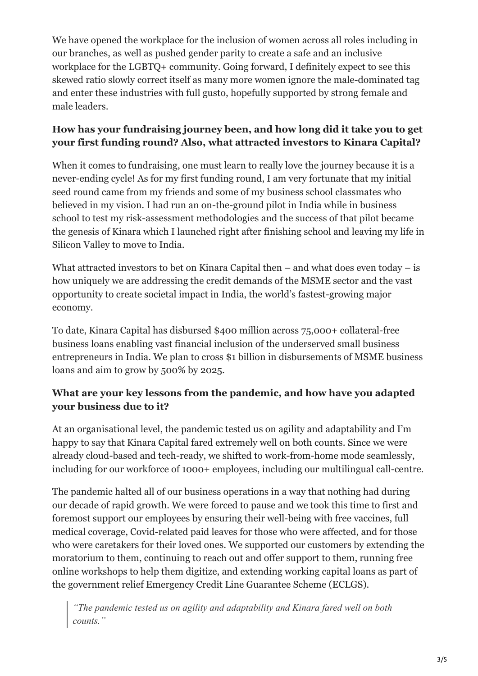We have opened the workplace for the inclusion of women across all roles including in our branches, as well as pushed gender parity to create a safe and an inclusive workplace for the LGBTQ+ community. Going forward, I definitely expect to see this skewed ratio slowly correct itself as many more women ignore the male-dominated tag and enter these industries with full gusto, hopefully supported by strong female and male leaders.

#### **How has your fundraising journey been, and how long did it take you to get your first funding round? Also, what attracted investors to Kinara Capital?**

When it comes to fundraising, one must learn to really love the journey because it is a never-ending cycle! As for my first funding round, I am very fortunate that my initial seed round came from my friends and some of my business school classmates who believed in my vision. I had run an on-the-ground pilot in India while in business school to test my risk-assessment methodologies and the success of that pilot became the genesis of Kinara which I launched right after finishing school and leaving my life in Silicon Valley to move to India.

What attracted investors to bet on Kinara Capital then – and what does even today – is how uniquely we are addressing the credit demands of the MSME sector and the vast opportunity to create societal impact in India, the world's fastest-growing major economy.

To date, Kinara Capital has disbursed \$400 million across 75,000+ collateral-free business loans enabling vast financial inclusion of the underserved small business entrepreneurs in India. We plan to cross \$1 billion in disbursements of MSME business loans and aim to grow by 500% by 2025.

#### **What are your key lessons from the pandemic, and how have you adapted your business due to it?**

At an organisational level, the pandemic tested us on agility and adaptability and I'm happy to say that Kinara Capital fared extremely well on both counts. Since we were already cloud-based and tech-ready, we shifted to work-from-home mode seamlessly, including for our workforce of 1000+ employees, including our multilingual call-centre.

The pandemic halted all of our business operations in a way that nothing had during our decade of rapid growth. We were forced to pause and we took this time to first and foremost support our employees by ensuring their well-being with free vaccines, full medical coverage, Covid-related paid leaves for those who were affected, and for those who were caretakers for their loved ones. We supported our customers by extending the moratorium to them, continuing to reach out and offer support to them, running free online workshops to help them digitize, and extending working capital loans as part of the government relief Emergency Credit Line Guarantee Scheme (ECLGS).

*"The pandemic tested us on agility and adaptability and Kinara fared well on both counts."*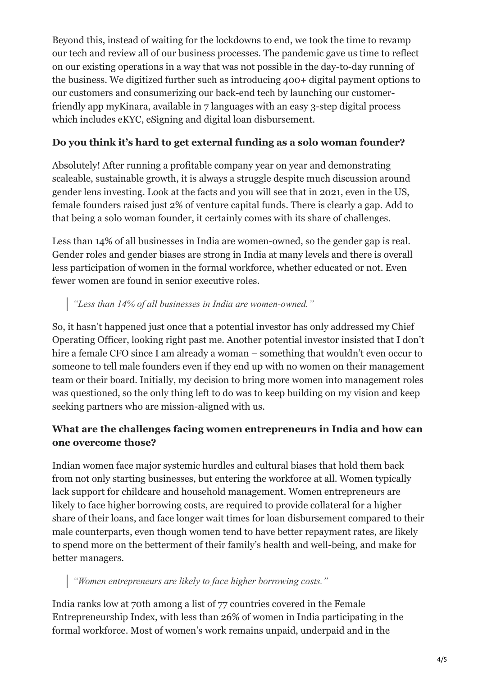Beyond this, instead of waiting for the lockdowns to end, we took the time to revamp our tech and review all of our business processes. The pandemic gave us time to reflect on our existing operations in a way that was not possible in the day-to-day running of the business. We digitized further such as introducing 400+ digital payment options to our customers and consumerizing our back-end tech by launching our customerfriendly app myKinara, available in 7 languages with an easy 3-step digital process which includes eKYC, eSigning and digital loan disbursement.

#### **Do you think it's hard to get external funding as a solo woman founder?**

Absolutely! After running a profitable company year on year and demonstrating scaleable, sustainable growth, it is always a struggle despite much discussion around gender lens investing. Look at the facts and you will see that in 2021, even in the US, female founders raised just 2% of venture capital funds. There is clearly a gap. Add to that being a solo woman founder, it certainly comes with its share of challenges.

Less than 14% of all businesses in India are women-owned, so the gender gap is real. Gender roles and gender biases are strong in India at many levels and there is overall less participation of women in the formal workforce, whether educated or not. Even fewer women are found in senior executive roles.

#### *"Less than 14% of all businesses in India are women-owned."*

So, it hasn't happened just once that a potential investor has only addressed my Chief Operating Officer, looking right past me. Another potential investor insisted that I don't hire a female CFO since I am already a woman – something that wouldn't even occur to someone to tell male founders even if they end up with no women on their management team or their board. Initially, my decision to bring more women into management roles was questioned, so the only thing left to do was to keep building on my vision and keep seeking partners who are mission-aligned with us.

#### **What are the challenges facing women entrepreneurs in India and how can one overcome those?**

Indian women face major systemic hurdles and cultural biases that hold them back from not only starting businesses, but entering the workforce at all. Women typically lack support for childcare and household management. Women entrepreneurs are likely to face higher borrowing costs, are required to provide collateral for a higher share of their loans, and face longer wait times for loan disbursement compared to their male counterparts, even though women tend to have better repayment rates, are likely to spend more on the betterment of their family's health and well-being, and make for better managers.

# *"Women entrepreneurs are likely to face higher borrowing costs."*

India ranks low at 70th among a list of 77 countries covered in the Female Entrepreneurship Index, with less than 26% of women in India participating in the formal workforce. Most of women's work remains unpaid, underpaid and in the